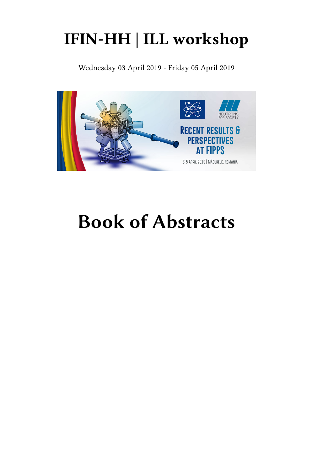## **IFIN-HH | ILL workshop**

Wednesday 03 April 2019 - Friday 05 April 2019



# **Book of Abstracts**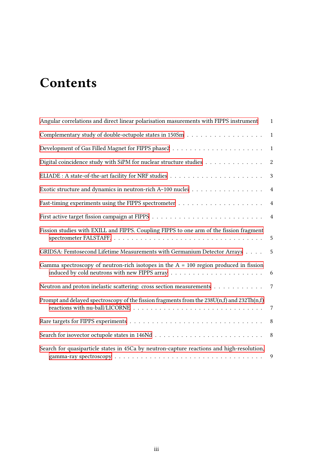## **Contents**

| Angular correlations and direct linear polarisation masurements with FIPPS instrument            | $\mathbf{1}$     |
|--------------------------------------------------------------------------------------------------|------------------|
|                                                                                                  | $\mathbf{1}$     |
|                                                                                                  | $\mathbf{1}$     |
| Digital coincidence study with SiPM for nuclear structure studies                                | $\boldsymbol{2}$ |
|                                                                                                  | 3                |
| Exotic structure and dynamics in neutron-rich A~100 nuclei $\dots \dots \dots \dots \dots \dots$ | $\overline{4}$   |
|                                                                                                  | $\overline{4}$   |
|                                                                                                  | $\overline{4}$   |
| Fission studies with EXILL and FIPPS. Coupling FIPPS to one arm of the fission fragment          |                  |
| GRIDSA: Femtosecond Lifetime Measurements with Germanium Detector Arrays                         | 5                |
| Gamma spectroscopy of neutron-rich isotopes in the $A = 100$ region produced in fission          | 6                |
| Neutron and proton inelastic scattering: cross section measurements                              | $7\phantom{.0}$  |
| Prompt and delayed spectroscopy of the fission fragments from the 238U(n,f) and 232Th(n,f)       | $7\phantom{.0}$  |
|                                                                                                  | 8 <sup>8</sup>   |
|                                                                                                  |                  |
| Search for quasiparticle states in 45Ca by neutron-capture reactions and high-resolution,        | 9                |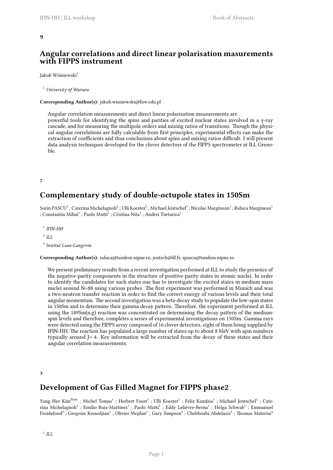## <span id="page-4-0"></span>**Angular correlations and direct linear polarisation masurements with FIPPS instrument**

Jakub Wiśniewski<sup>1</sup>

<sup>1</sup> *University of Warsaw*

**Corresponding Author(s):** jakub.wisniewski@fuw.edu.pl

Angular correlation measurements and direct linear polarization measurements are powerful tools for identifying the spins and parities of excited nuclear states involved in a γ-ray cascade, and for measuring the multipole orders and mixing ratios of transitions. Though the physical angular correlations are fully calculable from first principles, experimental effects can make the extraction of coefficients and thus conclusions about spins and mixing ratios difficult. I will present data analysis techniques developed for the clover detectors of the FIPPS spectrometer at ILL Grenoble.

<span id="page-4-1"></span>**7**

## **Complementary study of double-octupole states in 150Sm**

Sorin PASCU<sup>1</sup> ; Caterina Michelagnoli<sup>2</sup> ; Ulli Koester<sup>2</sup> ; Michael Jentschel<sup>3</sup> ; Nicolae Marginean<sup>1</sup> ; Raluca Marginean<sup>1</sup> ; Constantin Mihai $^1$  ; Paolo Mutti $^2$  ; Cristina Nita $^1$  ; Andrei Turturica $^1$ 

 $^1$  *IFIN-HH* 

2 *ILL*

3 *Institut Laue-Langevin*

**Corresponding Author(s):** raluca@tandem.nipne.ro, jentsch@ill.fr, spascu@tandem.nipne.ro

We present preliminary results from a recent investigation performed at ILL to study the presence of the negative-parity components in the structure of positive-parity states in atomic nuclei. In order to identify the candidates for such states one has to investigate the excited states in medium mass nuclei around N=88 using various probes. The first experiment was performed in Munich and was a two-neutron transfer reaction in order to find the correct energy of various levels and their total angular momentum. The second investigation was a beta-decay study to populate the low-spin states in 150Sm and to determine their gamma decay pattern. Therefore, the experiment performed at ILL using the 149Sm(n,g) reaction was concentrated on determining the decay pattern of the mediumspin levels and therefore, completes a series of experimental investigations on 150Sm. Gamma rays were detected using the FIPPS array composed of 16 clover detectors, eight of them being supplied by IFIN-HH. The reaction has populated a large number of states up to about 8 MeV with spin numbers typically around J= 4. Key information will be extracted from the decay of these states and their angular correlation measurements.

<span id="page-4-2"></span>**3**

## **Development of Gas Filled Magnet for FIPPS phase2**

Yung Hee Kim<sup>None</sup> ; Michel Tomas<sup>1</sup> ; Herbert Faust<sup>1</sup> ; Ulli Koester<sup>1</sup> ; Felix Kandzia<sup>1</sup> ; Michael Jentschel<sup>1</sup> ; Caterina Michelagnoli<sup>1</sup> ; Emilio Ruiz-Martinez<sup>1</sup> ; Paolo Mutti<sup>1</sup> ; Eddy Lelièvre-Berna<sup>1</sup> ; Helga Schwab<sup>1</sup> ; Emmanuel  $\rm{Froidefond}^2$  ; Gregoire Kessedjian $^2$  ; Olivier Meplan $^2$  ; Gary Simpson $^2$  ; Chebboubi Abdelaziz $^3$  ; Thomas Materna $^4$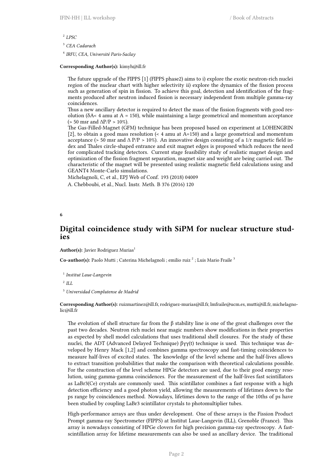2 *LPSC*

<sup>3</sup> *CEA Cadarach*

4 *IRFU, CEA, Université Paris-Saclay*

#### **Corresponding Author(s):** kimyh@ill.fr

The future upgrade of the FIPPS [1] (FIPPS phase2) aims to i) explore the exotic neutron-rich nuclei region of the nuclear chart with higher selectivity ii) explore the dynamics of the fission process such as generation of spin in fission. To achieve this goal, detection and identification of the fragments produced after neutron induced fission is necessary independent from multiple gamma-ray coincidences.

Thus a new ancillary detector is required to detect the mass of the fission fragments with good resolution ( $\delta A < 4$  amu at  $A = 150$ ), while maintaining a large geometrical and momentum acceptance (> 50 msr and  $\Delta P/P > 10\%$ ).

The Gas-Filled-Magnet (GFM) technique has been proposed based on experiment at LOHENGRIN [2], to obtain a good mass resolution (< 4 amu at A=150) and a large geometrical and momentum acceptance (> 50 msr and  $\Delta P/P > 10\%$ ). An innovative design consisting of a 1/r magnetic field index and Thales circle-shaped entrance and exit magnet edges is proposed which reduces the need for complicated tracking detectors. Current stage feasibility study of realistic magnet design and optimization of the fission fragment separation, magnet size and weight are being carried out. The characteristic of the magnet will be presented using realistic magnetic field calculations using and GEANT4 Monte-Carlo simulations.

Michelagnoli, C, et al., EPJ Web of Conf. 193 (2018) 04009 A. Chebboubi, et al., Nucl. Instr. Meth. B 376 (2016) 120

<span id="page-5-0"></span>**6**

## **Digital coincidence study with SiPM for nuclear structure studies**

Author(s): Javier Rodriguez Murias<sup>1</sup>

Co-author(s): Paolo Mutti ; Caterina Michelagnoli ; emilio ruiz<sup>2</sup> ; Luis Mario Fraile<sup>3</sup>

1 *Institut Laue-Langevin*

2 *ILL*

<sup>3</sup> *Universidad Complutense de Madrid*

**Corresponding Author(s):** ruizmartinez@ill.fr, rodriguez-murias@ill.fr, lmfraile@ucm.es, mutti@ill.fr, michelagnolic@ill.fr

The evolution of shell structure far from the  $\beta$  stability line is one of the great challenges over the past two decades. Neutron rich nuclei near magic numbers show modifications in their properties as expected by shell model calculations that uses traditional shell closures. For the study of these nuclei, the ADT (Advanced Delayed Technique) βγγ(t) technique is used. This technique was developed by Henry Mack [1,2] and combines gamma spectroscopy and fast-timing coincidences to measure half-lives of excited states. The knowledge of the level scheme and the half-lives allows to extract transition probabilities that make the comparison with theoretical calculations possible. For the construction of the level scheme HPGe detectors are used, due to their good energy resolution, using gamma-gamma coincidences. For the measurement of the half-lives fast scintillators as LaBr3(Ce) crystals are commonly used. This scintillator combines a fast response with a high detection efficiency and a good photon yield, allowing the measurements of lifetimes down to the ps range by coincidences method. Nowadays, lifetimes down to the range of the 10ths of ps have been studied by coupling LaBr3 scintillator crystals to photomultiplier tubes.

High-performance arrays are thus under development. One of these arrays is the Fission Product Prompt gamma-ray Spectrometer (FIPPS) at Institut Laue-Langevin (ILL), Grenoble (France). This array is nowadays consisting of HPGe clovers for high precision gamma-ray spectroscopy. A fastscintillation array for lifetime measurements can also be used as ancillary device. The traditional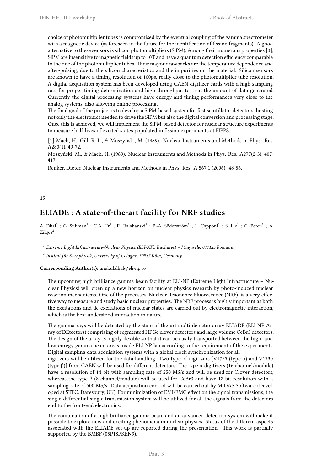choice of photomultiplier tubes is compromised by the eventual coupling of the gamma spectrometer with a magnetic device (as foreseen in the future for the identification of fission fragments). A good alternative to these sensors is silicon photomultipliers (SiPM). Among their numerous properties [3], SiPM are insensitive to magnetic fields up to 10T and have a quantum detection efficiency comparable to the one of the photomultiplier tubes. Their mayor drawbacks are the temperature dependence and after-pulsing, due to the silicon characteristics and the impurities on the material. Silicon sensors are known to have a timing resolution of 100ps, really close to the photomultiplier tube resolution. A digital acquisition system has been developed using CAEN digitizer cards with a high sampling rate for proper timing determination and high throughput to treat the amount of data generated. Currently the digital processing systems have energy and timing performances very close to the analog systems, also allowing online processing.

The final goal of the project is to develop a SiPM-based system for fast scintillator detectors, hosting not only the electronics needed to drive the SiPM but also the digital conversion and processing stage. Once this is achieved, we will implement the SiPM-based detector for nuclear structure experiments to measure half-lives of excited states populated in fission experiments at FIPPS.

[1] Mach, H., Gill, R. L., & Moszyński, M. (1989). Nuclear Instruments and Methods in Phys. Res. A280(1), 49-72.

Moszyński, M., & Mach, H. (1989). Nuclear Instruments and Methods in Phys. Res. A277(2-3), 407- 417.

Renker, Dieter. Nuclear Instruments and Methods in Phys. Res. A 567.1 (2006): 48-56.

#### <span id="page-6-0"></span>**15**

## **ELIADE : A state-of-the-art facility for NRF studies**

A. Dhal<sup>1</sup>; G. Suliman<sup>1</sup>; C.A. Ur<sup>1</sup>; D. Balabanski<sup>1</sup>; P.-A. Söderström<sup>1</sup>; L. Capponi<sup>1</sup>; S. Ilie<sup>1</sup>; C. Petcu<sup>1</sup>; A.  $Zilges^2$ 

1 *Extreme Light Infrastructure-Nuclear Physics (ELI-NP), Bucharest – Magurele, 077125,Romania*

2 *Institut für Kernphysik, University of Cologne, 50937 Köln, Germany*

**Corresponding Author(s):** anukul.dhal@eli-np.ro

The upcoming high brilliance gamma beam facility at ELI-NP (Extreme Light Infrastructure – Nuclear Physics) will open up a new horizon on nuclear physics research by photo-induced nuclear reaction mechanisms. One of the processes, Nuclear Resonance Fluorescence (NRF), is a very effective way to measure and study basic nuclear properties. The NRF process is highly important as both the excitations and de-excitations of nuclear states are carried out by electromagnetic interaction, which is the best understood interaction in nature.

The gamma-rays will be detected by the state-of-the-art multi-detector array ELIADE (ELI-NP Array of DEtectors) comprising of segmented HPGe clover detectors and large volume CeBr3 detectors. The design of the array is highly flexible so that it can be easily transported between the high- and low-enregy gamma beam areas inside ELI-NP lab according to the requirement of the experiments. Digital sampling data acquisition systems with a global clock synchronization for all

digitizers will be utilized for the data handling. Two type of digitizers [V1725 (type  $\alpha$ ) and V1730 (type β)] from CAEN will be used for different detectors. The type α digitizers (16 channel/module) have a resolution of 14 bit with sampling rate of 250 MS/s and will be used for Clover detectors, whereas the type  $\beta$  (8 channel/module) will be used for CeBr3 and have 12 bit resolution with a sampling rate of 500 MS/s. Data acquisition control will be carried out by MIDAS Software (Developed at STFC, Daresbury, UK). For minimization of EMI/EMC effect on the signal transmissions, the single-differential-single transmission system will be utilized for all the signals from the detectors end to the front-end electronics.

The combination of a high brilliance gamma beam and an advanced detection system will make it possible to explore new and exciting phenomena in nuclear physics. Status of the different aspects associated with the ELIADE set-up are reported during the presentation. This work is partially supported by the BMBF (05P18PKEN9).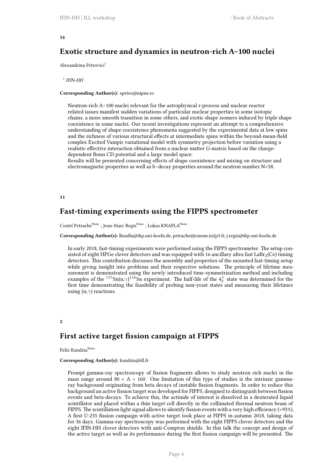#### <span id="page-7-0"></span>**14**

## **Exotic structure and dynamics in neutron-rich A~100 nuclei**

Alexandrina Petrovici<sup>1</sup>

1 *IFIN-HH*

#### **Corresponding Author(s):** spetro@nipne.ro

Neutron-rich A∼100 nuclei relevant for the astrophysical r-process and nuclear reactor related issues manifest sudden variations of particular nuclear properties in some isotopic chains, a more smooth transition in some others, and exotic shape isomers induced by triple shape coexistence in some nuclei. Our recent investigations represent an attempt to a comprehensive understanding of shape coexistence phenomena suggested by the experimental data at low spins and the richness of various structural effects at intermediate spins within the beyond-mean-field complex Excited Vampir variational model with symmetry projection before variation using a realistic effective interaction obtained from a nuclear matter G-matrix based on the chargedependent Bonn CD potential and a large model space.

Results will be presented concerning effects of shape coexistence and mixing on structure and electromagnetic properties as well as b–decay properties around the neutron number N=58.

#### <span id="page-7-1"></span>**11**

## **Fast-timing experiments using the FIPPS spectrometer**

Costel Petrache<sup>None</sup> ; Jean-Marc Regis<sup>None</sup> ; Lukas KNAFLA<sup>None</sup>

**Corresponding Author(s):** lknafla@ikp.uni-koeln.de, petrache@csnsm.in2p3.fr, j.regis@ikp.uni-koeln.de

In early 2018, fast-timing experiments were performed using the FIPPS spectrometer. The setup consisted of eight HPGe clover detectors and was equipped with 16 ancillary ultra fast  $\text{LaBr}_3(\text{Ce})$  timing detectors. This contribution discusses the assembly and properties of the mounted fast-timing setup while giving insight into problems and their respective solutions. The principle of lifetime measurement is demonstrated using the newly introduced time-symmetrisation method and including examples of the <sup>115</sup>Sn(n, $\gamma$ )<sup>116</sup>Sn experiment. The half-life of the  $4^{+}_{2}$  state was determined for the first time demonstrating the feasibility of probing non-yrast states and measuring their lifetimes using (n,*γ*) reactions.

#### <span id="page-7-2"></span>**2**

## **First active target fission campaign at FIPPS**

Felix Kandzia<sup>None</sup>

#### **Corresponding Author(s):** kandzia@ill.fr

Prompt gamma-ray spectroscopy of fission fragments allows to study neutron rich nuclei in the mass range around  $80 < A < 160$ . One limitation of this type of studies is the intrinsic gammaray background originating from beta decays of instable fission fragments. In order to reduce this background an active fission target was developed for FIPPS, designed to distinguish between fission events and beta-decays. To achieve this, the actinide of interest is dissolved in a deuterated liquid scintillator and placed within a thin target cell directly in the collimated thermal neutron beam of FIPPS. The scintillation light signal allows to identify fission events with a very high efficiency (>95%). A first U-235 fission campaign with active target took place at FIPPS in autumn 2018, taking data for 36 days. Gamma-ray spectroscopy was performed with the eight FIPPS clover detectors and the eight IFIN-HH clover detectors with anti-Compton shields. In this talk the concept and design of the active target as well as its performance during the first fission campaign will be presented. The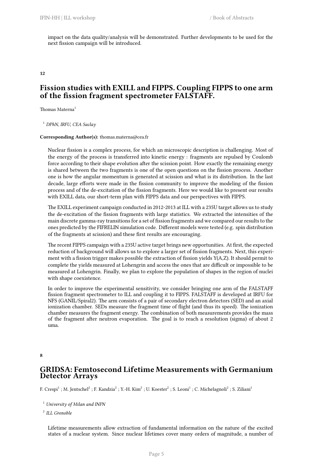impact on the data quality/analysis will be demonstrated. Further developments to be used for the next fission campaign will be introduced.

<span id="page-8-0"></span>**12**

## **Fission studies with EXILL and FIPPS. Coupling FIPPS to one arm of the fission fragment spectrometer FALSTAFF.**

Thomas Materna<sup>1</sup>

<sup>1</sup> *DPhN, IRFU, CEA Saclay*

#### **Corresponding Author(s):** thomas.materna@cea.fr

Nuclear fission is a complex process, for which an microscopic description is challenging. Most of the energy of the process is transferred into kinetic energy : fragments are repulsed by Coulomb force according to their shape evolution after the scission point. How exactly the remaining energy is shared between the two fragments is one of the open questions on the fission process. Another one is how the angular momentum is generated at scission and what is its distribution. In the last decade, large efforts were made in the fission community to improve the modeling of the fission process and of the de-excitation of the fission fragments. Here we would like to present our results with EXILL data, our short-term plan with FIPPS data and our perspectives with FIPPS.

The EXILL experiment campaign conducted in 2012-2013 at ILL with a 235U target allows us to study the de-excitation of the fission fragments with large statistics. We extracted the intensities of the main discrete gamma-ray transitions for a set of fission fragments and we compared our results to the ones predicted by the FIFRELIN simulation code. Different models were tested (e.g. spin distribution of the fragments at scission) and these first results are encouraging.

The recent FIPPS campaign with a 235U active target brings new opportunities. At first, the expected reduction of background will allows us to explore a larger set of fission fragments. Next, this experiment with a fission trigger makes possible the extraction of fission yields Y(A,Z). It should permit to complete the yields measured at Lohengrin and access the ones that are difficult or impossible to be measured at Lohengrin. Finally, we plan to explore the population of shapes in the region of nuclei with shape coexistence.

In order to improve the experimental sensitivity, we consider bringing one arm of the FALSTAFF fission fragment spectrometer to ILL and coupling it to FIPPS. FALSTAFF is developed at IRFU for NFS (GANIL/Spiral2). The arm consists of a pair of secondary electron detectors (SED) and an axial ionization chamber. SEDs measure the fragment time of flight (and thus its speed). The ionization chamber measures the fragment energy. The combination of both measurements provides the mass of the fragment after neutron evaporation. The goal is to reach a resolution (sigma) of about 2 uma.

**8**

## **GRIDSA: Femtosecond Lifetime Measurements with Germanium Detector Arrays**

F. Crespi<sup>1</sup> ; M. Jentschel<sup>2</sup> ; F. Kandzia<sup>2</sup> ; Y.-H. Kim<sup>2</sup> ; U. Koester<sup>2</sup> ; S. Leoni<sup>1</sup> ; C. Michelagnoli<sup>2</sup> ; S. Ziliani<sup>1</sup>

Lifetime measurements allow extraction of fundamental information on the nature of the excited states of a nuclear system. Since nuclear lifetimes cover many orders of magnitude, a number of

<sup>1</sup> *University of Milan and INFN*

<sup>2</sup> *ILL Grenoble*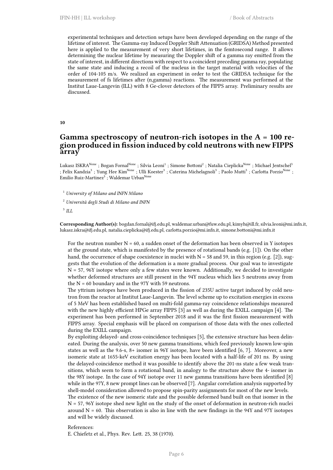experimental techniques and detection setups have been developed depending on the range of the lifetime of interest. The Gamma-ray Induced Doppler Shift Attenuation (GRIDSA) Method presented here is applied to the measurement of very short lifetimes, in the femtosecond range. It allows determining the nuclear lifetime by measuring the Doppler shift of a gamma ray emitted from the state of interest, in different directions with respect to a coincident preceding gamma ray, populating the same state and inducing a recoil of the nucleus in the target material with velocities of the order of 104-105 m/s. We realized an experiment in order to test the GRIDSA technique for the measurement of fs lifetimes after (n,gamma) reactions. The measurement was performed at the Institut Laue-Langevin (ILL) with 8 Ge-clover detectors of the FIPPS array. Preliminary results are discussed.

#### <span id="page-9-0"></span>**10**

## **Gamma spectroscopy of neutron-rich isotopes in the A = 100 region produced in fission induced by cold neutrons with new FIPPS array**

Lukasz ISKRA<sup>None</sup> ; Bogan Fornal<sup>None</sup> ; Silvia Leoni<sup>1</sup> ; Simone Bottoni<sup>2</sup> ; Natalia Cieplicka<sup>None</sup> ; Michael Jentschel<sup>3</sup> ; Felix Kandzia $^3$  ; Yung Hee Kim<sup>None</sup> ; Ulli Koester $^3$  ; Caterina Michelagnoli $^3$  ; Paolo Mutti $^3$  ; Carlotta Porzio<sup>None</sup> ; Emilio Ruiz-Martinez $^3$  ; Waldemar Urban<sup>None</sup>

<sup>1</sup> *University of Milano and INFN Milano*

- <sup>2</sup> *Università degli Studi di Milano and INFN*
- 3 *ILL*

**Corresponding Author(s):** bogdan.fornal@ifj.edu.pl, waldemar.urban@fuw.edu.pl, kimyh@ill.fr, silvia.leoni@mi.infn.it, lukasz.iskra@ifj.edu.pl, natalia.cieplicka@ifj.edu.pl, carlotta.porzio@mi.infn.it, simone.bottoni@mi.infn.it

For the neutron number  $N = 60$ , a sudden onset of the deformation has been observed in Y isotopes at the ground state, which is manifested by the presence of rotational bands (e.g. [1]). On the other hand, the occurrence of shape coexistence in nuclei with  $N = 58$  and 59, in this region (e.g. [2]), suggests that the evolution of the deformation is a more gradual process. Our goal was to investigate  $N = 57$ , 96Y isotope where only a few states were known. Additionally, we decided to investigate whether deformed structures are still present in the 94Y nucleus which lies 5 neutrons away from the  $N = 60$  boundary and in the 97Y with 59 neutrons.

The yttrium isotopes have been produced in the fission of 235U active target induced by cold neutron from the reactor at Institut Laue-Langevin. The level scheme up to excitation energies in excess of 5 MeV has been established based on multi-fold gamma-ray coincidence relationships measured with the new highly efficient HPGe array FIPPS [3] as well as during the EXILL campaign [4]. The experiment has been performed in September 2018 and it was the first fission measurement with FIPPS array. Special emphasis will be placed on comparison of those data with the ones collected during the EXILL campaign.

By exploiting delayed- and cross-coincidence techniques [5], the extensive structure has been delineated. During the analysis, over 50 new gamma transitions, which feed previously known low-spin states as well as the 9.6-s, 8+ isomer in 96Y isotope, have been identified [6, 7]. Moreover, a new isomeric state at 1655-keV excitation energy has been located with a half-life of 201 ns. By using the delayed-coincidence method it was possible to identify above the 201-ns state a few weak transitions, which seem to form a rotational band, in analogy to the structure above the 4- isomer in the 98Y isotope. In the case of 94Y isotope over 11 new gamma transitions have been identified [8] while in the 97Y, 8 new prompt lines can be observed [7]. Angular correlation analysis supported by shell-model consideration allowed to propose spin-parity assignments for most of the new levels.

The existence of the new isomeric state and the possible deformed band built on that isomer in the  $N = 57$ , 96Y isotope shed new light on the study of the onset of deformation in neutron-rich nuclei around  $N = 60$ . This observation is also in line with the new findings in the 94Y and 97Y isotopes and will be widely discussed.

#### References:

E. Chiefetz et al., Phys. Rev. Lett. 25, 38 (1970).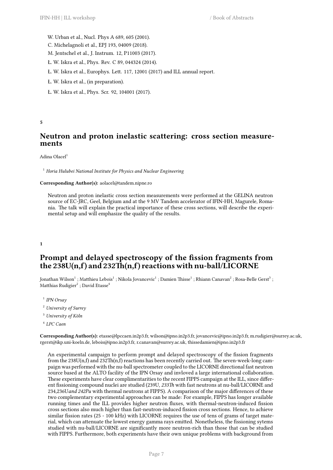- W. Urban et al., Nucl. Phys A 689, 605 (2001).
- C. Michelagnoli et al., EPJ 193, 04009 (2018).
- M. Jentschel et al., J. Instrum. 12, P11003 (2017).
- Ł. W. Iskra et al., Phys. Rev. C 89, 044324 (2014).
- Ł. W. Iskra et al., Europhys. Lett. 117, 12001 (2017) and ILL annual report.
- Ł. W. Iskra et al., (in preparation).
- Ł. W. Iskra et al., Phys. Scr. 92, 104001 (2017).

#### <span id="page-10-0"></span>**5**

## **Neutron and proton inelastic scattering: cross section measurements**

#### Adina Olacel<sup>1</sup>

<sup>1</sup> *Horia Hulubei National Institute for Physics and Nuclear Engineering*

#### **Corresponding Author(s):** aolacel@tandem.nipne.ro

Neutron and proton inelastic cross section measurements were performed at the GELINA neutron source of EC-JRC, Geel, Belgium and at the 9 MV Tandem accelerator of IFIN-HH, Magurele, Romania. The talk will explain the practical importance of these cross sections, will describe the experimental setup and will emphasize the quality of the results.

<span id="page-10-1"></span>**1**

## **Prompt and delayed spectroscopy of the fission fragments from the 238U(n,f) and 232Th(n,f) reactions with nu-ball/LICORNE**

Jonathan Wilson $^1$  ; Matthieu Lebois $^1$  ; Nikola Jovancevic $^1$  ; Damien Thisse $^1$  ; Rhiann Canavan $^2$  ; Rosa-Belle Gerst $^3$  ; Matthias Rudigier $^2$  ; David Etasse $^4$ 

- 1 *IPN Orsay*
- <sup>2</sup> *University of Surrey*
- <sup>3</sup> *University of Köln*
- 4 *LPC Caen*

**Corresponding Author(s):** etasse@lpccaen.in2p3.fr, wilson@ipno.in2p3.fr, jovancevic@ipno.in2p3.fr, m.rudigier@surrey.ac.uk, rgerst@ikp.uni-koeln.de, lebois@ipno.in2p3.fr, r.canavan@surrey.ac.uk, thissedamien@ipno.in2p3.fr

An experimental campaign to perform prompt and delayed spectroscopy of the fission fragments from the 238U(n,f) and 232Th(n,f) reactions has been recently carried out. The seven-week-long campaign was performed with the nu-ball spectrometer coupled to the LICORNE directional fast neutron source based at the ALTO facility of the IPN Orsay and invloved a large international collaboration. These experiments have clear complimentarities to the recent FIPPS campaign at the ILL, since different fissioning compound nuclei are studied (239U*, 233Th* with fast neutrons at nu-ball/LICORNE and 234,236U*and 242Pu* with thermal neutrons at FIPPS). A comparison of the major differences of these two complementary experimental approaches can be made: For example, FIPPS has longer available running times and the ILL provides higher neutron fluxes, with thermal-neutron-induced fission cross sections also much higher than fast-neutron-induced fission cross sections. Hence, to achieve similar fission rates (25 - 100 kHz) with LICORNE requires the use of tens of grams of target material, which can attenuate the lowest energy gamma rays emitted. Nonetheless, the fissioning sytems studied with nu-ball/LICORNE are significantly more neutron-rich than those that can be studied with FIPPS. Furthermore, both experiments have their own unique problems with background from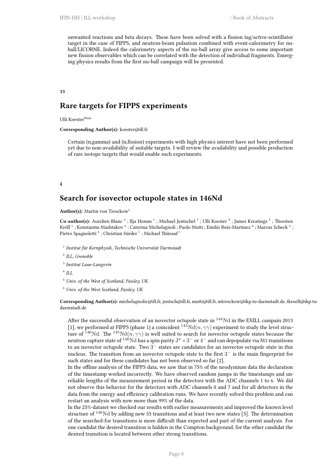unwanted reactions and beta decays. These have been solved with a fission tag/active-scintillator target in the case of FIPPS, and neutron-beam pulsation combined with event-calorimetry for nuball/LICORNE. Indeed the calorimetry aspects of the nu-ball array give access to some important new fission observables which can be correlated with the detection of individual fragments. Emerging physics results from the first nu-ball campaign will be presented.

#### <span id="page-11-0"></span>**13**

## **Rare targets for FIPPS experiments**

Ulli Koester<sup>None</sup>

**Corresponding Author(s):** koester@ill.fr

Certain (n,gamma) and (n,fission) experiments with high physics interest have not been performed yet due to non-availability of suitable targets. I will review the availability and possible production of rare isotope targets that would enable such experiments.

#### <span id="page-11-1"></span>**4**

## **Search for isovector octupole states in 146Nd**

**Author(s):** Martin von Tresckow<sup>1</sup>

Co-author(s): Aurelien Blanc<sup>2</sup>; Ilja Homm<sup>1</sup>; Michael Jentschel<sup>3</sup>; Ulli Koester<sup>4</sup>; James Kreatings<sup>5</sup>; Thorsten Kröll  $^1$  ; Konstantin Mashtakov  $^6$  ; Caterina Michelagnoli ; Paolo Mutti ; Emilio Ruiz-Martinez  $^4$  ; Marcus Scheck  $^6$  ; Pietro Spagnoletti  $^6$  ; Christian Sürder  $^1$  ; Michael Thürauf  $^1$ 

- 1 *Institut für Kernphysik, Technische Universität Darmstadt*
- 2 *ILL, Grenoble*
- 3 *Institut Laue-Langevin*
- 4 *ILL*
- <sup>5</sup> *Univ. of the West of Scotland, Paisley, UK*
- <sup>6</sup> *Univ. of the West Scotland, Paisley, UK*

**Corresponding Author(s):** michelagnolic@ill.fr, jentsch@ill.fr, mutti@ill.fr, mtresckow@ikp.tu-darmstadt.de, tkroell@ikp.tudarmstadt.de

After the successful observation of an isovector octupole state in <sup>144</sup>Nd in the EXILL campain 2013 [1], we performed at FIPPS (phase 1) a coincident  $^{145}Nd(n,\gamma\gamma)$  experiment to study the level structure of <sup>146</sup>Nd. The <sup>145</sup>Nd( $n, \gamma\gamma$ ) is well suited to search for isovector octupole states because the neutron capture state of <sup>146</sup>Nd has a spin parity J *<sup>π</sup>* = 3 *<sup>−</sup>* or 4 *<sup>−</sup>* and can depopulate via M1 transitions to an isovector octupole state. Two 3 *<sup>−</sup>* states are candidates for an isovector octupole state in this nucleus. The transition from an isovector octupole state to the first 3 *<sup>−</sup>* is the main fingerprint for such states and for these candidates has not been observed so far [2].

In the offline analysis of the FIPPS data, we saw that in 75% of the neodymium data the declaration of the timestamp worked incorrectly. We have observed random jumps in the timestamps and unreliable lengths of the measurement period in the detectors with the ADC channels 1 to 6. We did not observe this behavior for the detectors with ADC channels 0 and 7 and for all detectors in the data from the energy and efficiency calibration runs. We have recently solved this problem and can restart an analysis with now more than 99% of the data.

In the 25%-dataset we checked our results with earlier measurements and improved the known level structure of  $146$ Nd by adding new 55 transitions and at least two new states [3]. The determination of the searched-for transitions is more difficult than expected and part of the current analysis. For one candidat the desired transition is hidden in the Compton background, for the other candidat the desired transition is located between other strong transitions.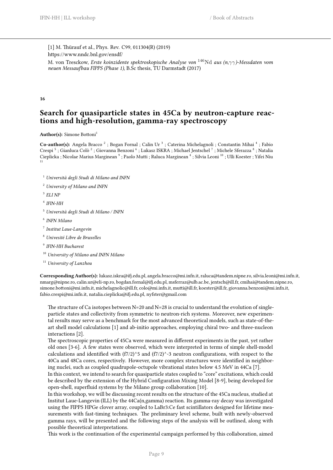[1] M. Thürauf et al., Phys. Rev. C99, 011304(R) (2019) https://www.nndc.bnl.gov/ensdf/ M. von Tresckow, *Erste koinzidente spektroskopische Analyse von* <sup>146</sup>Nd *aus (n,γγ)-Messdaten vom neuen Messaufbau FIPPS (Phase 1)*, B.Sc thesis, TU Darmstadt (2017)

#### **16**

## **Search for quasiparticle states in 45Ca by neutron-capture reactions and high-resolution, gamma-ray spectroscopy**

**Author(s):** Simone Bottoni<sup>1</sup>

Co-author(s): Angela Bracco<sup>2</sup>; Bogan Fornal; Calin Ur<sup>3</sup>; Caterina Michelagnoli; Constantin Mihai<sup>4</sup>; Fabio Crespi  $^5$  ; Gianluca Colò  $^2$  ; Giovanna Benzoni  $^6$  ; Lukasz ISKRA ; Michael Jentschel  $^7$  ; Michele Sferazza  $^8$  ; Natalia Cieplicka ; Nicolae Marius Marginean  $^9$  ; Paolo Mutti ; Raluca Marginean  $^4$  ; Silvia Leoni  $^{10}$  ; Ulli Koester ; Yifei Niu 11

- <sup>1</sup> *Università degli Studi di Milano and INFN*
- <sup>2</sup> *University of Milano and INFN*
- 3 *ELI NP*
- 4 *IFIN-HH*
- <sup>5</sup> *Università degli Studi di Milano / INFN*
- 6 *INFN Milano*
- 7 *Institut Laue-Langevin*
- <sup>8</sup> *Univesité Libre de Bruxelles*
- 9 *IFIN-HH Bucharest*
- <sup>10</sup> *University of Milano and INFN Milano*
- <sup>11</sup> *University of Lanzhou*

**Corresponding Author(s):** lukasz.iskra@ifj.edu.pl, angela.bracco@mi.infn.it, raluca@tandem.nipne.ro, silvia.leoni@mi.infn.it, nmarg@nipne.ro, calin.ur@eli-np.ro, bogdan.fornal@ifj.edu.pl, msferraz@ulb.ac.be, jentsch@ill.fr, cmihai@tandem.nipne.ro, simone.bottoni@mi.infn.it, michelagnolic@ill.fr, colo@mi.infn.it, mutti@ill.fr, koester@ill.fr, giovanna.benzoni@mi.infn.it, fabio.crespi@mi.infn.it, natalia.cieplicka@ifj.edu.pl, nyfster@gmail.com

The structure of Ca isotopes between N=20 and N=28 is crucial to understand the evolution of singleparticle states and collectivity from symmetric to neutron-rich systems. Moreover, new experimental results may serve as a benchmark for the most advanced theoretical models, such as state-of-theart shell model calculations [1] and ab-initio approaches, employing chiral two- and three-nucleon interactions [2].

The spectroscopic properties of 45Ca were measured in different experiments in the past, yet rather old ones [3-6]. A few states were observed, which were interpreted in terms of simple shell-model calculations and identified with (f7/2)^5 and (f7/2)^-3 neutron configurations, with respect to the 40Ca and 48Ca cores, respectively. However, more complex structures were identified in neighboring nuclei, such as coupled quadrupole-octupole vibrational states below 4.5 MeV in 44Ca [7].

In this context, we intend to search for quasiparticle states coupled to "core" excitations, which could be described by the extension of the Hybrid Configuration Mixing Model [8-9], being developed for open-shell, superfluid systems by the Milano group collaboration [10].

In this workshop, we will be discussing recent results on the structure of the 45Ca nucleus, studied at Institut Laue-Langevin (ILL) by the 44Ca(n,gamma) reaction. Its gamma-ray decay was investigated using the FIPPS HPGe clover array, coupled to LaBr3:Ce fast scintillators designed for lifetime measurements with fast-timing techniques. The preliminary level scheme, built with newly-observed gamma rays, will be presented and the following steps of the analysis will be outlined, along with possible theoretical interpretations.

This work is the continuation of the experimental campaign performed by this collaboration, aimed